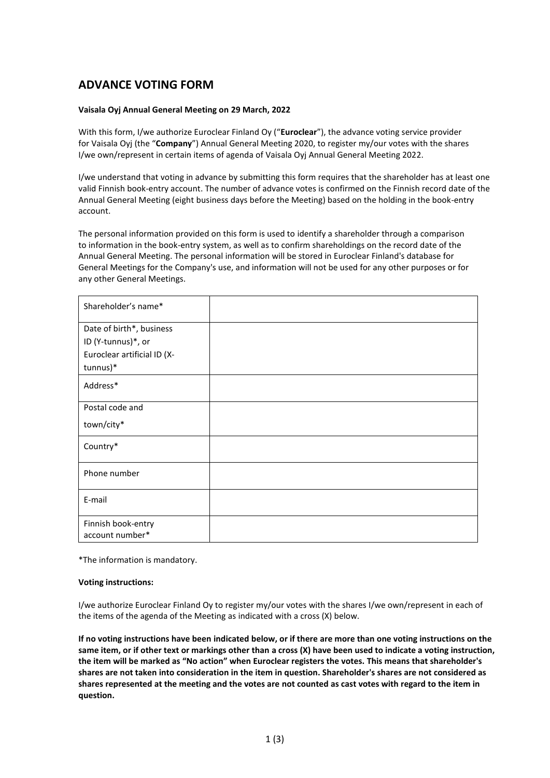## **ADVANCE VOTING FORM**

## **Vaisala Oyj Annual General Meeting on 29 March, 2022**

With this form, I/we authorize Euroclear Finland Oy ("**Euroclear**"), the advance voting service provider for Vaisala Oyj (the "**Company**") Annual General Meeting 2020, to register my/our votes with the shares I/we own/represent in certain items of agenda of Vaisala Oyj Annual General Meeting 2022.

I/we understand that voting in advance by submitting this form requires that the shareholder has at least one valid Finnish book-entry account. The number of advance votes is confirmed on the Finnish record date of the Annual General Meeting (eight business days before the Meeting) based on the holding in the book-entry account.

The personal information provided on this form is used to identify a shareholder through a comparison to information in the book-entry system, as well as to confirm shareholdings on the record date of the Annual General Meeting. The personal information will be stored in Euroclear Finland's database for General Meetings for the Company's use, and information will not be used for any other purposes or for any other General Meetings.

| Shareholder's name*         |  |
|-----------------------------|--|
| Date of birth*, business    |  |
| ID (Y-tunnus)*, or          |  |
| Euroclear artificial ID (X- |  |
| tunnus)*                    |  |
| Address*                    |  |
| Postal code and             |  |
| town/city*                  |  |
| Country*                    |  |
| Phone number                |  |
| E-mail                      |  |
| Finnish book-entry          |  |
| account number*             |  |

\*The information is mandatory.

## **Voting instructions:**

I/we authorize Euroclear Finland Oy to register my/our votes with the shares I/we own/represent in each of the items of the agenda of the Meeting as indicated with a cross (X) below.

**If no voting instructions have been indicated below, or if there are more than one voting instructions on the same item, or if other text or markings other than a cross (X) have been used to indicate a voting instruction, the item will be marked as "No action" when Euroclear registers the votes. This means that shareholder's shares are not taken into consideration in the item in question. Shareholder's shares are not considered as shares represented at the meeting and the votes are not counted as cast votes with regard to the item in question.**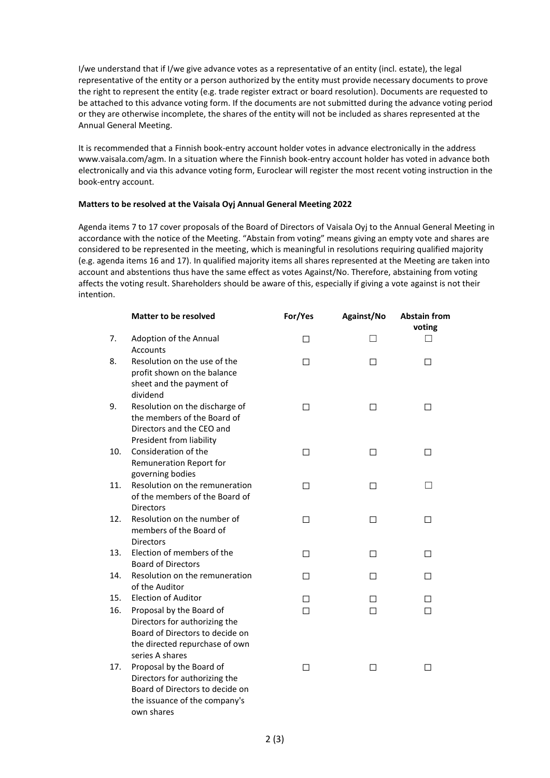I/we understand that if I/we give advance votes as a representative of an entity (incl. estate), the legal representative of the entity or a person authorized by the entity must provide necessary documents to prove the right to represent the entity (e.g. trade register extract or board resolution). Documents are requested to be attached to this advance voting form. If the documents are not submitted during the advance voting period or they are otherwise incomplete, the shares of the entity will not be included as shares represented at the Annual General Meeting.

It is recommended that a Finnish book-entry account holder votes in advance electronically in the address www.vaisala.com/agm. In a situation where the Finnish book-entry account holder has voted in advance both electronically and via this advance voting form, Euroclear will register the most recent voting instruction in the book-entry account.

## **Matters to be resolved at the Vaisala Oyj Annual General Meeting 2022**

Agenda items 7 to 17 cover proposals of the Board of Directors of Vaisala Oyj to the Annual General Meeting in accordance with the notice of the Meeting. "Abstain from voting" means giving an empty vote and shares are considered to be represented in the meeting, which is meaningful in resolutions requiring qualified majority (e.g. agenda items 16 and 17). In qualified majority items all shares represented at the Meeting are taken into account and abstentions thus have the same effect as votes Against/No. Therefore, abstaining from voting affects the voting result. Shareholders should be aware of this, especially if giving a vote against is not their intention.

|     | <b>Matter to be resolved</b>                                                                                                                      | For/Yes | Against/No | <b>Abstain from</b><br>voting |
|-----|---------------------------------------------------------------------------------------------------------------------------------------------------|---------|------------|-------------------------------|
| 7.  | Adoption of the Annual<br><b>Accounts</b>                                                                                                         | П       | П          | ΓΙ                            |
| 8.  | Resolution on the use of the<br>profit shown on the balance<br>sheet and the payment of<br>dividend                                               | $\perp$ | $\perp$    | ΙI                            |
| 9.  | Resolution on the discharge of<br>the members of the Board of<br>Directors and the CEO and<br>President from liability                            | П       | П          | П                             |
| 10. | Consideration of the<br>Remuneration Report for<br>governing bodies                                                                               | $\Box$  | $\Box$     | □                             |
| 11. | Resolution on the remuneration<br>of the members of the Board of<br><b>Directors</b>                                                              | П       | П          | $\Box$                        |
| 12. | Resolution on the number of<br>members of the Board of<br><b>Directors</b>                                                                        | П       | П          | П                             |
| 13. | Election of members of the<br><b>Board of Directors</b>                                                                                           | □       | □          | П                             |
| 14. | Resolution on the remuneration<br>of the Auditor                                                                                                  | П       | П          | П                             |
| 15. | <b>Election of Auditor</b>                                                                                                                        | П       | П          | П                             |
| 16. | Proposal by the Board of<br>Directors for authorizing the<br>Board of Directors to decide on<br>the directed repurchase of own<br>series A shares | $\Box$  | П          | П                             |
| 17. | Proposal by the Board of<br>Directors for authorizing the<br>Board of Directors to decide on<br>the issuance of the company's<br>own shares       | П       | П          | П                             |